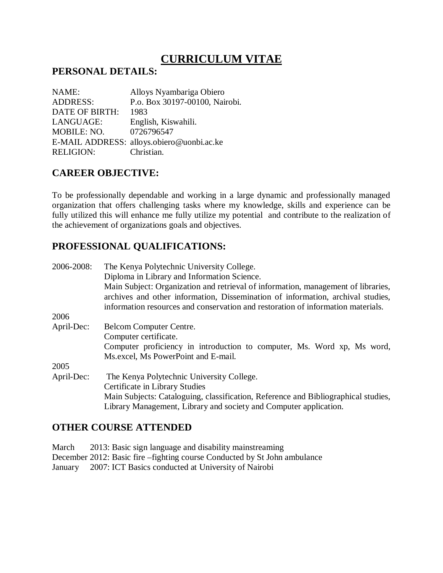# **CURRICULUM VITAE**

#### **PERSONAL DETAILS:**

| NAME:            | Alloys Nyambariga Obiero                  |
|------------------|-------------------------------------------|
| <b>ADDRESS:</b>  | P.o. Box 30197-00100, Nairobi.            |
| DATE OF BIRTH:   | 1983                                      |
| LANGUAGE:        | English, Kiswahili.                       |
| MOBILE: NO.      | 0726796547                                |
|                  | E-MAIL ADDRESS: alloys.obiero@uonbi.ac.ke |
| <b>RELIGION:</b> | Christian.                                |

## **CAREER OBJECTIVE:**

To be professionally dependable and working in a large dynamic and professionally managed organization that offers challenging tasks where my knowledge, skills and experience can be fully utilized this will enhance me fully utilize my potential and contribute to the realization of the achievement of organizations goals and objectives.

# **PROFESSIONAL QUALIFICATIONS:**

| 2006-2008: | The Kenya Polytechnic University College.                                          |
|------------|------------------------------------------------------------------------------------|
|            | Diploma in Library and Information Science.                                        |
|            | Main Subject: Organization and retrieval of information, management of libraries,  |
|            | archives and other information, Dissemination of information, archival studies,    |
|            | information resources and conservation and restoration of information materials.   |
| 2006       |                                                                                    |
| April-Dec: | Belcom Computer Centre.                                                            |
|            | Computer certificate.                                                              |
|            | Computer proficiency in introduction to computer, Ms. Word xp, Ms word,            |
|            | Ms. excel, Ms PowerPoint and E-mail.                                               |
| 2005       |                                                                                    |
| April-Dec: | The Kenya Polytechnic University College.                                          |
|            | Certificate in Library Studies                                                     |
|            | Main Subjects: Cataloguing, classification, Reference and Bibliographical studies, |
|            | Library Management, Library and society and Computer application.                  |

## **OTHER COURSE ATTENDED**

| March | 2013: Basic sign language and disability mainstreaming                     |
|-------|----------------------------------------------------------------------------|
|       | December 2012: Basic fire – fighting course Conducted by St John ambulance |
|       | January 2007: ICT Basics conducted at University of Nairobi                |